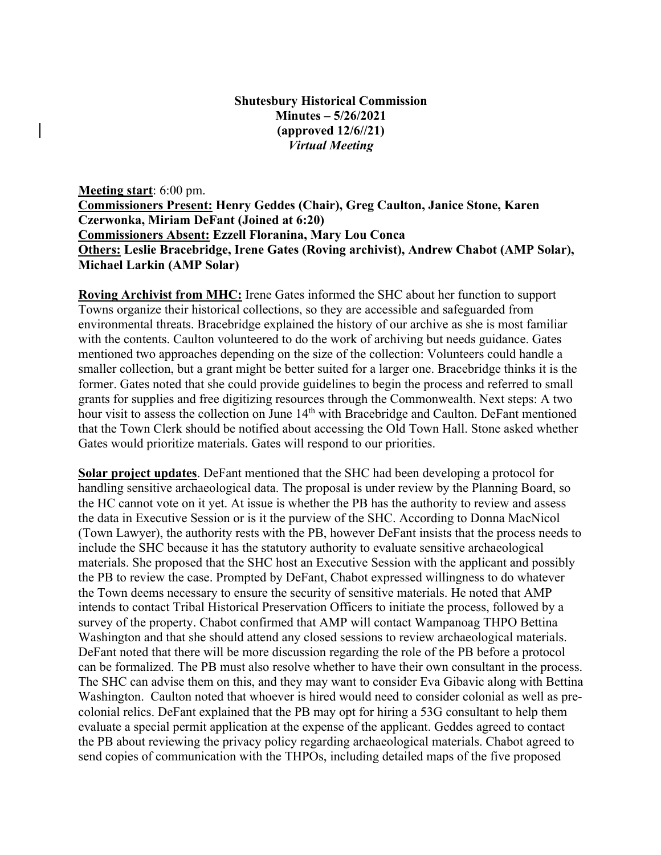## **Shutesbury Historical Commission Minutes – 5/26/2021 (approved 12/6//21)** *Virtual Meeting*

**Meeting start**: 6:00 pm. **Commissioners Present: Henry Geddes (Chair), Greg Caulton, Janice Stone, Karen Czerwonka, Miriam DeFant (Joined at 6:20) Commissioners Absent: Ezzell Floranina, Mary Lou Conca Others: Leslie Bracebridge, Irene Gates (Roving archivist), Andrew Chabot (AMP Solar), Michael Larkin (AMP Solar)**

**Roving Archivist from MHC:** Irene Gates informed the SHC about her function to support Towns organize their historical collections, so they are accessible and safeguarded from environmental threats. Bracebridge explained the history of our archive as she is most familiar with the contents. Caulton volunteered to do the work of archiving but needs guidance. Gates mentioned two approaches depending on the size of the collection: Volunteers could handle a smaller collection, but a grant might be better suited for a larger one. Bracebridge thinks it is the former. Gates noted that she could provide guidelines to begin the process and referred to small grants for supplies and free digitizing resources through the Commonwealth. Next steps: A two hour visit to assess the collection on June 14<sup>th</sup> with Bracebridge and Caulton. DeFant mentioned that the Town Clerk should be notified about accessing the Old Town Hall. Stone asked whether Gates would prioritize materials. Gates will respond to our priorities.

**Solar project updates**. DeFant mentioned that the SHC had been developing a protocol for handling sensitive archaeological data. The proposal is under review by the Planning Board, so the HC cannot vote on it yet. At issue is whether the PB has the authority to review and assess the data in Executive Session or is it the purview of the SHC. According to Donna MacNicol (Town Lawyer), the authority rests with the PB, however DeFant insists that the process needs to include the SHC because it has the statutory authority to evaluate sensitive archaeological materials. She proposed that the SHC host an Executive Session with the applicant and possibly the PB to review the case. Prompted by DeFant, Chabot expressed willingness to do whatever the Town deems necessary to ensure the security of sensitive materials. He noted that AMP intends to contact Tribal Historical Preservation Officers to initiate the process, followed by a survey of the property. Chabot confirmed that AMP will contact Wampanoag THPO Bettina Washington and that she should attend any closed sessions to review archaeological materials. DeFant noted that there will be more discussion regarding the role of the PB before a protocol can be formalized. The PB must also resolve whether to have their own consultant in the process. The SHC can advise them on this, and they may want to consider Eva Gibavic along with Bettina Washington. Caulton noted that whoever is hired would need to consider colonial as well as precolonial relics. DeFant explained that the PB may opt for hiring a 53G consultant to help them evaluate a special permit application at the expense of the applicant. Geddes agreed to contact the PB about reviewing the privacy policy regarding archaeological materials. Chabot agreed to send copies of communication with the THPOs, including detailed maps of the five proposed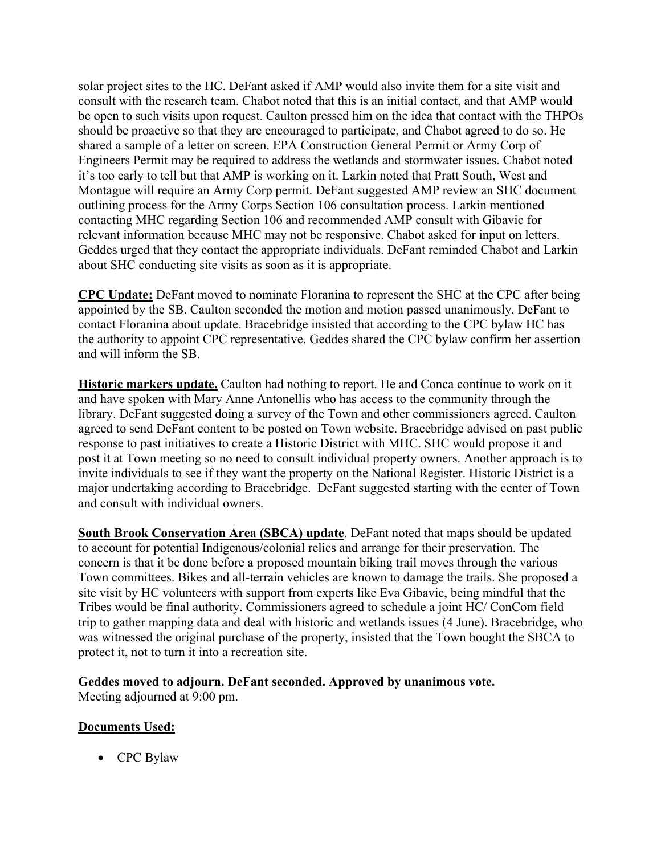solar project sites to the HC. DeFant asked if AMP would also invite them for a site visit and consult with the research team. Chabot noted that this is an initial contact, and that AMP would be open to such visits upon request. Caulton pressed him on the idea that contact with the THPOs should be proactive so that they are encouraged to participate, and Chabot agreed to do so. He shared a sample of a letter on screen. EPA Construction General Permit or Army Corp of Engineers Permit may be required to address the wetlands and stormwater issues. Chabot noted it's too early to tell but that AMP is working on it. Larkin noted that Pratt South, West and Montague will require an Army Corp permit. DeFant suggested AMP review an SHC document outlining process for the Army Corps Section 106 consultation process. Larkin mentioned contacting MHC regarding Section 106 and recommended AMP consult with Gibavic for relevant information because MHC may not be responsive. Chabot asked for input on letters. Geddes urged that they contact the appropriate individuals. DeFant reminded Chabot and Larkin about SHC conducting site visits as soon as it is appropriate.

**CPC Update:** DeFant moved to nominate Floranina to represent the SHC at the CPC after being appointed by the SB. Caulton seconded the motion and motion passed unanimously. DeFant to contact Floranina about update. Bracebridge insisted that according to the CPC bylaw HC has the authority to appoint CPC representative. Geddes shared the CPC bylaw confirm her assertion and will inform the SB.

**Historic markers update.** Caulton had nothing to report. He and Conca continue to work on it and have spoken with Mary Anne Antonellis who has access to the community through the library. DeFant suggested doing a survey of the Town and other commissioners agreed. Caulton agreed to send DeFant content to be posted on Town website. Bracebridge advised on past public response to past initiatives to create a Historic District with MHC. SHC would propose it and post it at Town meeting so no need to consult individual property owners. Another approach is to invite individuals to see if they want the property on the National Register. Historic District is a major undertaking according to Bracebridge. DeFant suggested starting with the center of Town and consult with individual owners.

**South Brook Conservation Area (SBCA) update**. DeFant noted that maps should be updated to account for potential Indigenous/colonial relics and arrange for their preservation. The concern is that it be done before a proposed mountain biking trail moves through the various Town committees. Bikes and all-terrain vehicles are known to damage the trails. She proposed a site visit by HC volunteers with support from experts like Eva Gibavic, being mindful that the Tribes would be final authority. Commissioners agreed to schedule a joint HC/ ConCom field trip to gather mapping data and deal with historic and wetlands issues (4 June). Bracebridge, who was witnessed the original purchase of the property, insisted that the Town bought the SBCA to protect it, not to turn it into a recreation site.

## **Geddes moved to adjourn. DeFant seconded. Approved by unanimous vote.**

Meeting adjourned at 9:00 pm.

## **Documents Used:**

• CPC Bylaw